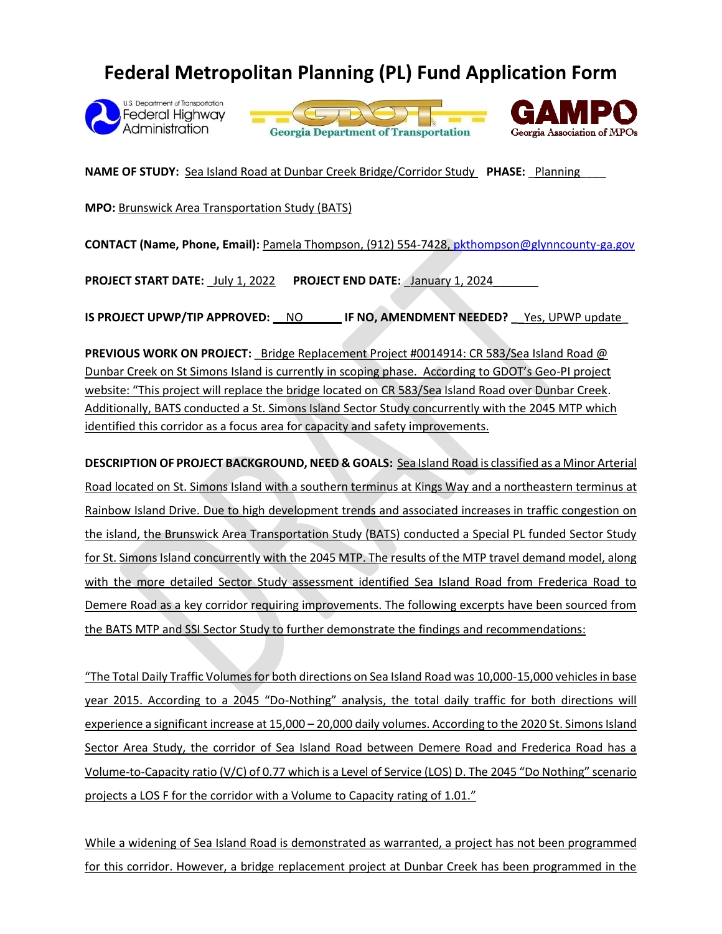## **Federal Metropolitan Planning (PL) Fund Application Form**







**NAME OF STUDY:** Sea Island Road at Dunbar Creek Bridge/Corridor Study **PHASE:** \_Planning\_\_\_\_

**MPO:** Brunswick Area Transportation Study (BATS)

**CONTACT (Name, Phone, Email):** Pamela Thompson, (912) 554-7428[, pkthompson@glynncounty-ga.gov](mailto:pkthompson@glynncounty-ga.gov)

PROJECT START DATE: \_July 1, 2022 PROJECT END DATE: \_January 1, 2024

**IS PROJECT UPWP/TIP APPROVED: \_\_**NO**\_\_\_\_\_\_ IF NO, AMENDMENT NEEDED? \_**\_Yes, UPWP update\_

**PREVIOUS WORK ON PROJECT:** Bridge Replacement Project #0014914: CR 583/Sea Island Road @ Dunbar Creek on St Simons Island is currently in scoping phase. According to GDOT's Geo-PI project website: "This project will replace the bridge located on CR 583/Sea Island Road over Dunbar Creek. Additionally, BATS conducted a St. Simons Island Sector Study concurrently with the 2045 MTP which identified this corridor as a focus area for capacity and safety improvements.

**DESCRIPTION OF PROJECT BACKGROUND, NEED & GOALS:** Sea Island Road is classified as a Minor Arterial Road located on St. Simons Island with a southern terminus at Kings Way and a northeastern terminus at Rainbow Island Drive. Due to high development trends and associated increases in traffic congestion on the island, the Brunswick Area Transportation Study (BATS) conducted a Special PL funded Sector Study for St. Simons Island concurrently with the 2045 MTP. The results of the MTP travel demand model, along with the more detailed Sector Study assessment identified Sea Island Road from Frederica Road to Demere Road as a key corridor requiring improvements. The following excerpts have been sourced from the BATS MTP and SSI Sector Study to further demonstrate the findings and recommendations:

"The Total Daily Traffic Volumes for both directions on Sea Island Road was 10,000-15,000 vehicles in base year 2015. According to a 2045 "Do-Nothing" analysis, the total daily traffic for both directions will experience a significant increase at 15,000 – 20,000 daily volumes. According to the 2020 St. Simons Island Sector Area Study, the corridor of Sea Island Road between Demere Road and Frederica Road has a Volume-to-Capacity ratio (V/C) of 0.77 which is a Level of Service (LOS) D. The 2045 "Do Nothing" scenario projects a LOS F for the corridor with a Volume to Capacity rating of 1.01."

While a widening of Sea Island Road is demonstrated as warranted, a project has not been programmed for this corridor. However, a bridge replacement project at Dunbar Creek has been programmed in the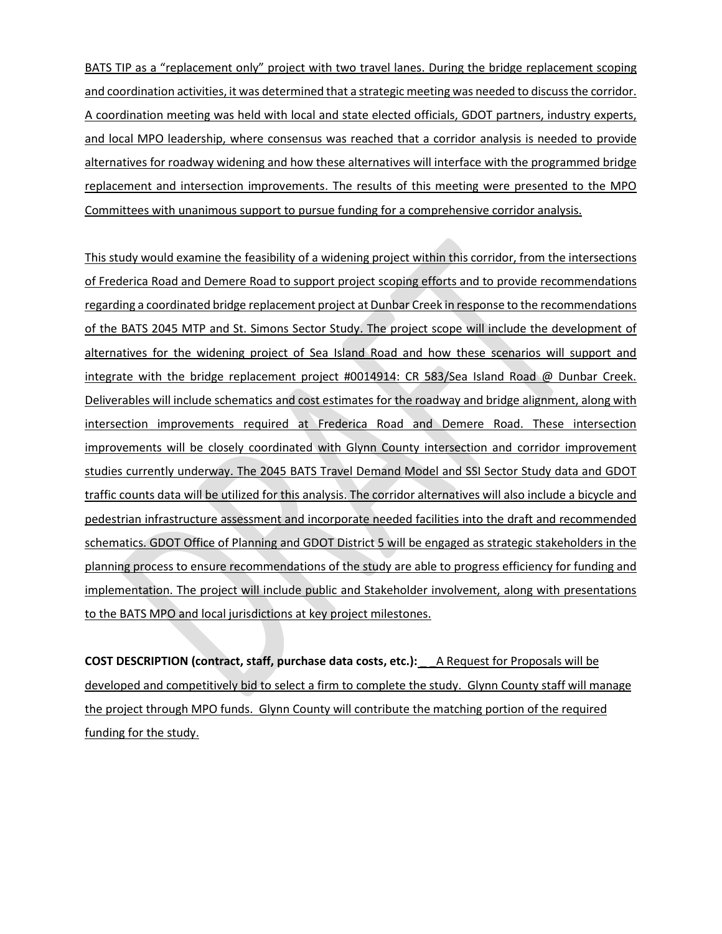BATS TIP as a "replacement only" project with two travel lanes. During the bridge replacement scoping and coordination activities, it was determined that a strategic meeting was needed to discuss the corridor. A coordination meeting was held with local and state elected officials, GDOT partners, industry experts, and local MPO leadership, where consensus was reached that a corridor analysis is needed to provide alternatives for roadway widening and how these alternatives will interface with the programmed bridge replacement and intersection improvements. The results of this meeting were presented to the MPO Committees with unanimous support to pursue funding for a comprehensive corridor analysis.

This study would examine the feasibility of a widening project within this corridor, from the intersections of Frederica Road and Demere Road to support project scoping efforts and to provide recommendations regarding a coordinated bridge replacement project at Dunbar Creek in response to the recommendations of the BATS 2045 MTP and St. Simons Sector Study. The project scope will include the development of alternatives for the widening project of Sea Island Road and how these scenarios will support and integrate with the bridge replacement project #0014914: CR 583/Sea Island Road @ Dunbar Creek. Deliverables will include schematics and cost estimates for the roadway and bridge alignment, along with intersection improvements required at Frederica Road and Demere Road. These intersection improvements will be closely coordinated with Glynn County intersection and corridor improvement studies currently underway. The 2045 BATS Travel Demand Model and SSI Sector Study data and GDOT traffic counts data will be utilized for this analysis. The corridor alternatives will also include a bicycle and pedestrian infrastructure assessment and incorporate needed facilities into the draft and recommended schematics. GDOT Office of Planning and GDOT District 5 will be engaged as strategic stakeholders in the planning process to ensure recommendations of the study are able to progress efficiency for funding and implementation. The project will include public and Stakeholder involvement, along with presentations to the BATS MPO and local jurisdictions at key project milestones.

**COST DESCRIPTION (contract, staff, purchase data costs, etc.):** \_ \_A Request for Proposals will be developed and competitively bid to select a firm to complete the study. Glynn County staff will manage the project through MPO funds. Glynn County will contribute the matching portion of the required funding for the study.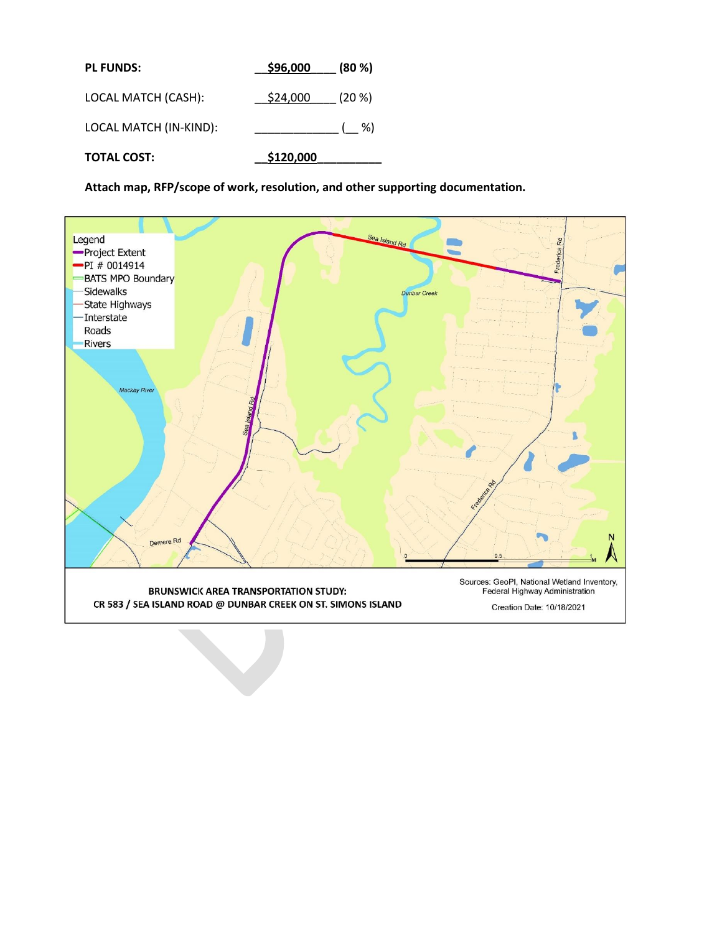| <b>PL FUNDS:</b>       | \$96,000  | (80 %)    |
|------------------------|-----------|-----------|
| LOCAL MATCH (CASH):    | \$24,000  | $(20 \%)$ |
| LOCAL MATCH (IN-KIND): |           | $($ %)    |
| <b>TOTAL COST:</b>     | \$120,000 |           |

**Attach map, RFP/scope of work, resolution, and other supporting documentation.**

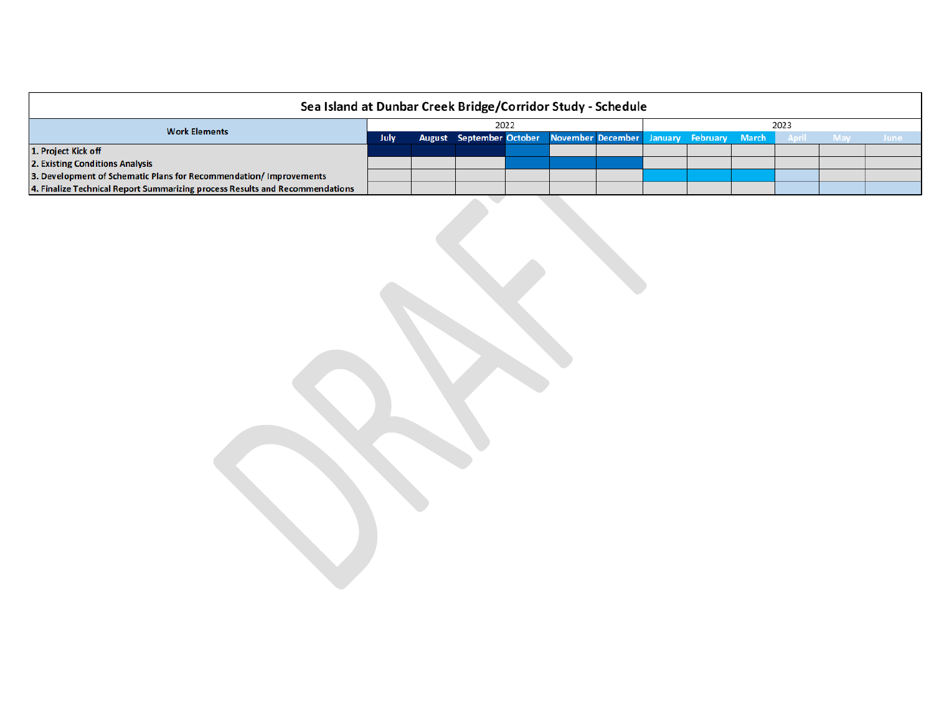| Sea Island at Dunbar Creek Bridge/Corridor Study - Schedule                  |      |  |                                                                   |  |  |      |  |  |  |           |  |             |
|------------------------------------------------------------------------------|------|--|-------------------------------------------------------------------|--|--|------|--|--|--|-----------|--|-------------|
|                                                                              | 2022 |  |                                                                   |  |  | 2023 |  |  |  |           |  |             |
| <b>Work Elements</b>                                                         |      |  | August September October November December January February March |  |  |      |  |  |  | April May |  | <b>June</b> |
| 1. Project Kick off                                                          |      |  |                                                                   |  |  |      |  |  |  |           |  |             |
| 2. Existing Conditions Analysis                                              |      |  |                                                                   |  |  |      |  |  |  |           |  |             |
| 3. Development of Schematic Plans for Recommendation/Improvements            |      |  |                                                                   |  |  |      |  |  |  |           |  |             |
| 4. Finalize Technical Report Summarizing process Results and Recommendations |      |  |                                                                   |  |  |      |  |  |  |           |  |             |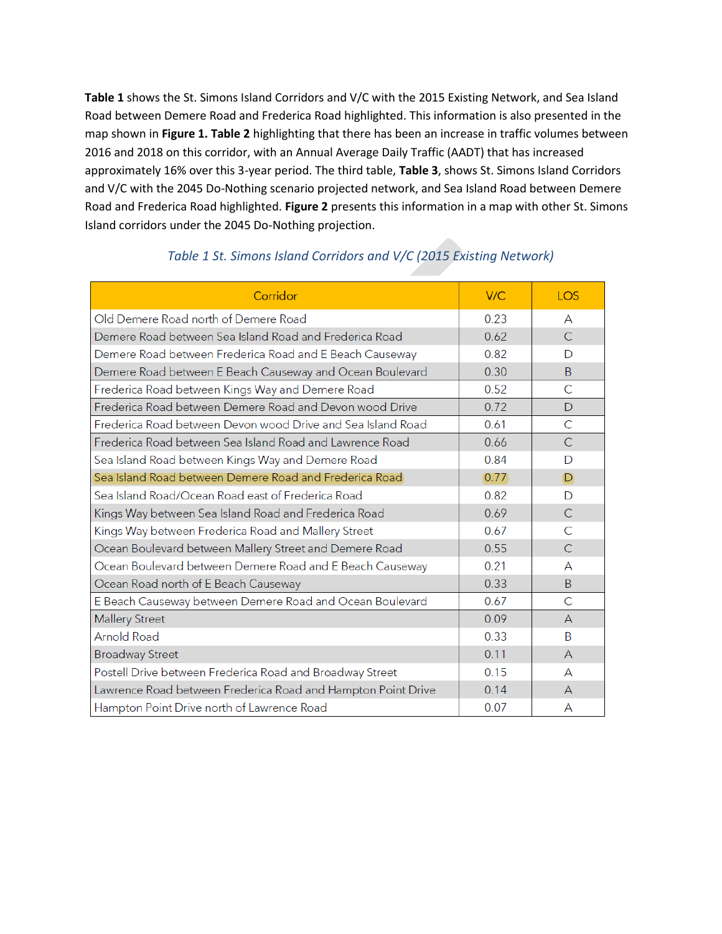**Table 1** shows the St. Simons Island Corridors and V/C with the 2015 Existing Network, and Sea Island Road between Demere Road and Frederica Road highlighted. This information is also presented in the map shown in **Figure 1. Table 2** highlighting that there has been an increase in traffic volumes between 2016 and 2018 on this corridor, with an Annual Average Daily Traffic (AADT) that has increased approximately 16% over this 3-year period. The third table, **Table 3**, shows St. Simons Island Corridors and V/C with the 2045 Do-Nothing scenario projected network, and Sea Island Road between Demere Road and Frederica Road highlighted. **Figure 2** presents this information in a map with other St. Simons Island corridors under the 2045 Do-Nothing projection.

| Corridor                                                     | V/C  | <b>LOS</b>     |
|--------------------------------------------------------------|------|----------------|
| Old Demere Road north of Demere Road                         | 0.23 | A              |
| Demere Road between Sea Island Road and Frederica Road       | 0.62 | $\mathsf{C}$   |
| Demere Road between Frederica Road and E Beach Causeway      | 0.82 | D              |
| Demere Road between E Beach Causeway and Ocean Boulevard     | 0.30 | B.             |
| Frederica Road between Kings Way and Demere Road             | 0.52 | C              |
| Frederica Road between Demere Road and Devon wood Drive      | 0.72 | D              |
| Frederica Road between Devon wood Drive and Sea Island Road  | 0.61 | C              |
| Frederica Road between Sea Island Road and Lawrence Road     | 0.66 | $\overline{C}$ |
| Sea Island Road between Kings Way and Demere Road            | 0.84 | D              |
| Sea Island Road between Demere Road and Frederica Road       | 0.77 | D              |
| Sea Island Road/Ocean Road east of Frederica Road            | 0.82 | D              |
| Kings Way between Sea Island Road and Frederica Road         | 0.69 | $\mathsf{C}$   |
| Kings Way between Frederica Road and Mallery Street          | 0.67 | $\overline{C}$ |
| Ocean Boulevard between Mallery Street and Demere Road       | 0.55 | $\mathsf{C}$   |
| Ocean Boulevard between Demere Road and E Beach Causeway     | 0.21 | A              |
| Ocean Road north of E Beach Causeway                         | 0.33 | B.             |
| E Beach Causeway between Demere Road and Ocean Boulevard     | 0.67 | C              |
| <b>Mallery Street</b>                                        | 0.09 | $\mathsf{A}$   |
| <b>Arnold Road</b>                                           | 0.33 | B              |
| <b>Broadway Street</b>                                       | 0.11 | $\mathsf{A}$   |
| Postell Drive between Frederica Road and Broadway Street     | 0.15 | A              |
| Lawrence Road between Frederica Road and Hampton Point Drive | 0.14 | $\mathsf{A}$   |
| Hampton Point Drive north of Lawrence Road                   | 0.07 | A              |

## *Table 1 St. Simons Island Corridors and V/C (2015 Existing Network)*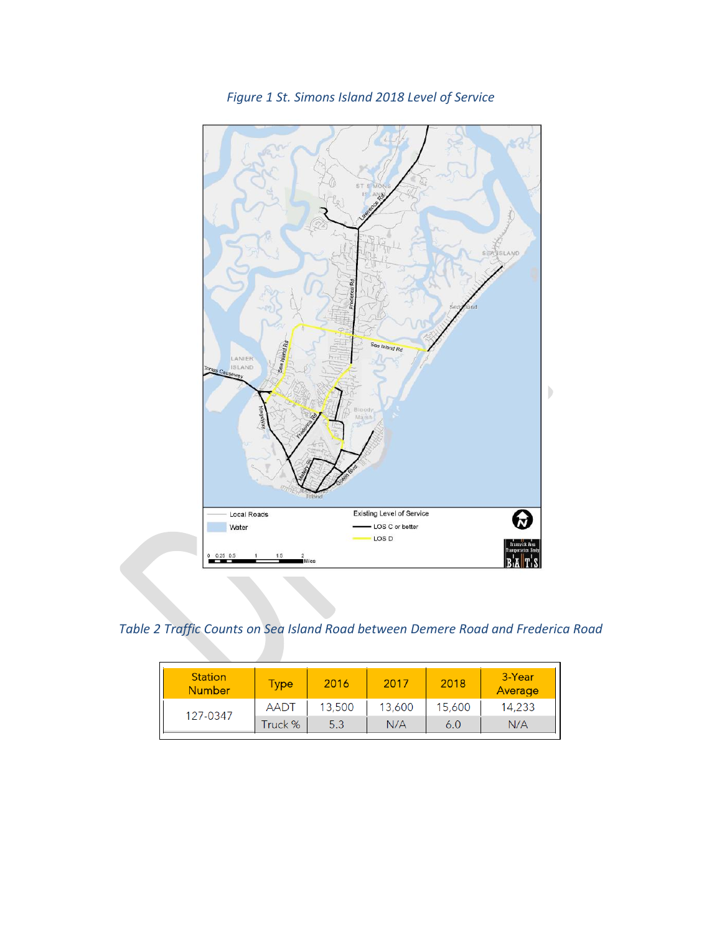

*Figure 1 St. Simons Island 2018 Level of Service*

*Table 2 Traffic Counts on Sea Island Road between Demere Road and Frederica Road*

| <b>Station</b><br><b>Number</b> | Type        | 2016   | 2017   | 2018   | 3-Year<br>Average |
|---------------------------------|-------------|--------|--------|--------|-------------------|
| 127-0347                        | <b>AADT</b> | 13,500 | 13,600 | 15,600 | 14,233            |
|                                 | Truck %     | 5.3    | N/A    | 6.0    | N/A               |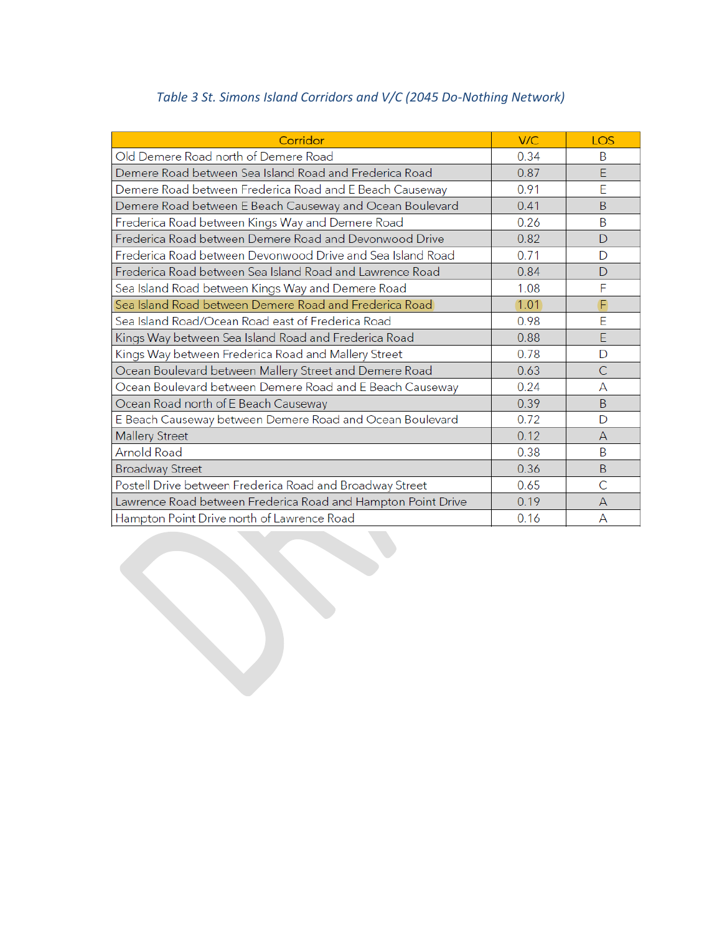## *Table 3 St. Simons Island Corridors and V/C (2045 Do-Nothing Network)*

| Corridor                                                     | V/C  | LOS            |
|--------------------------------------------------------------|------|----------------|
| Old Demere Road north of Demere Road                         | 0.34 | B              |
| Demere Road between Sea Island Road and Frederica Road       | 0.87 | F              |
| Demere Road between Frederica Road and E Beach Causeway      | 0.91 | E              |
| Demere Road between E Beach Causeway and Ocean Boulevard     | 0.41 | B              |
| Frederica Road between Kings Way and Demere Road             | 0.26 | B              |
| Frederica Road between Demere Road and Devonwood Drive       | 0.82 | D              |
| Frederica Road between Devonwood Drive and Sea Island Road   | 0.71 | D              |
| Frederica Road between Sea Island Road and Lawrence Road     | 0.84 | $\mathsf{D}$   |
| Sea Island Road between Kings Way and Demere Road            | 1.08 | F              |
| Sea Island Road between Demere Road and Frederica Road       | 1.01 | F              |
| Sea Island Road/Ocean Road east of Frederica Road            | 0.98 | Ē              |
| Kings Way between Sea Island Road and Frederica Road         | 0.88 | E              |
| Kings Way between Frederica Road and Mallery Street          | 0.78 | D              |
| Ocean Boulevard between Mallery Street and Demere Road       | 0.63 | $\overline{C}$ |
| Ocean Boulevard between Demere Road and E Beach Causeway     | 0.24 | А              |
| Ocean Road north of E Beach Causeway                         | 0.39 | <sub>B</sub>   |
| E Beach Causeway between Demere Road and Ocean Boulevard     | 0.72 | D              |
| <b>Mallery Street</b>                                        | 0.12 | $\mathsf{A}$   |
| <b>Arnold Road</b>                                           | 0.38 | B              |
| <b>Broadway Street</b>                                       | 0.36 | <sub>B</sub>   |
| Postell Drive between Frederica Road and Broadway Street     | 0.65 | C              |
| Lawrence Road between Frederica Road and Hampton Point Drive | 0.19 | $\mathsf{A}$   |
| Hampton Point Drive north of Lawrence Road                   | 0.16 | А              |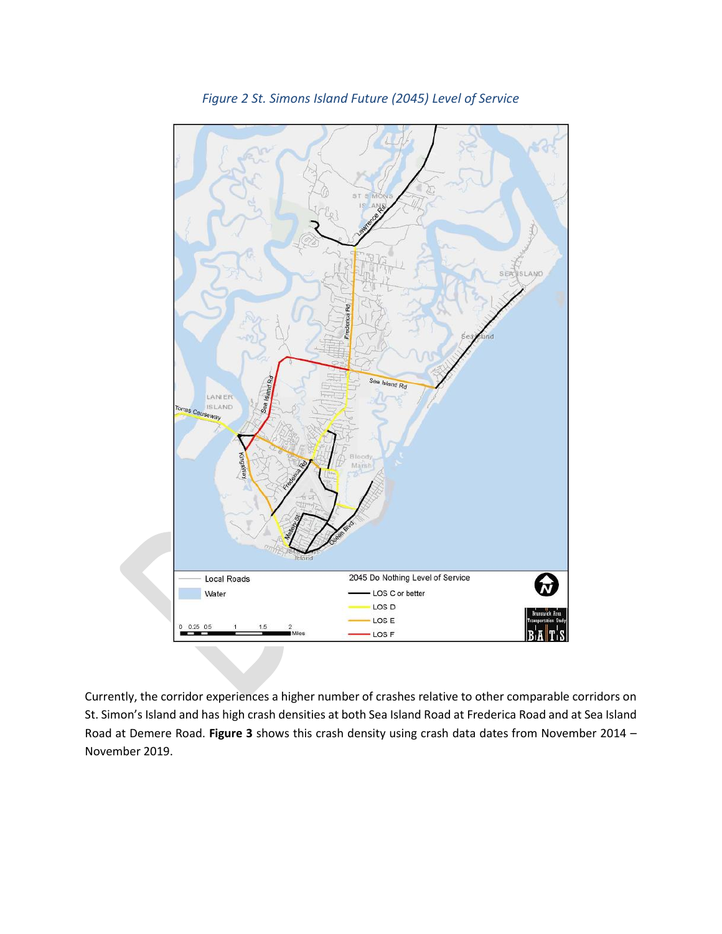

*Figure 2 St. Simons Island Future (2045) Level of Service*

Currently, the corridor experiences a higher number of crashes relative to other comparable corridors on St. Simon's Island and has high crash densities at both Sea Island Road at Frederica Road and at Sea Island Road at Demere Road. **Figure 3** shows this crash density using crash data dates from November 2014 – November 2019.